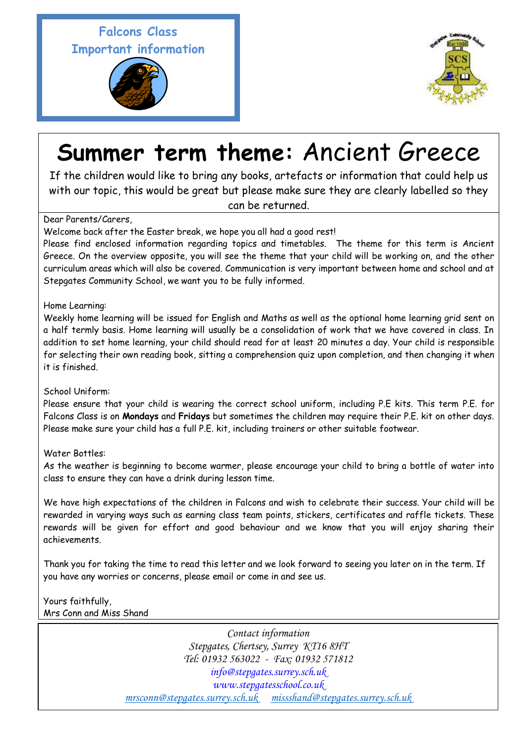## **Falcons Class Important information**





# **Summer term theme:** Ancient Greece

If the children would like to bring any books, artefacts or information that could help us with our topic, this would be great but please make sure they are clearly labelled so they can be returned.

### Dear Parents/Carers,

Welcome back after the Easter break, we hope you all had a good rest!

Please find enclosed information regarding topics and timetables. The theme for this term is Ancient Greece. On the overview opposite, you will see the theme that your child will be working on, and the other curriculum areas which will also be covered. Communication is very important between home and school and at Stepgates Community School, we want you to be fully informed.

Home Learning:

Weekly home learning will be issued for English and Maths as well as the optional home learning grid sent on a half termly basis. Home learning will usually be a consolidation of work that we have covered in class. In addition to set home learning, your child should read for at least 20 minutes a day. Your child is responsible for selecting their own reading book, sitting a comprehension quiz upon completion, and then changing it when it is finished.

#### School Uniform:

Please ensure that your child is wearing the correct school uniform, including P.E kits. This term P.E. for Falcons Class is on **Mondays** and **Fridays** but sometimes the children may require their P.E. kit on other days. Please make sure your child has a full P.E. kit, including trainers or other suitable footwear.

#### Water Bottles:

As the weather is beginning to become warmer, please encourage your child to bring a bottle of water into class to ensure they can have a drink during lesson time.

We have high expectations of the children in Falcons and wish to celebrate their success. Your child will be rewarded in varying ways such as earning class team points, stickers, certificates and raffle tickets. These rewards will be given for effort and good behaviour and we know that you will enjoy sharing their achievements.

Thank you for taking the time to read this letter and we look forward to seeing you later on in the term. If you have any worries or concerns, please email or come in and see us.

#### Yours faithfully, Mrs Conn and Miss Shand

*Contact information Stepgates, Chertsey, Surrey KT16 8HT Tel: 01932 563022 - Fax: 01932 571812 info@stepgates.surrey.sch.uk www.stepgatesschool.co.uk [mrsconn@stepgates.surrey.sch.uk](mailto:mrsconn@stepgates.surrey.sch.uk) [missshand@stepgates.surrey.sch.uk](mailto:missshand@stepgates.surrey.sch.uk)*